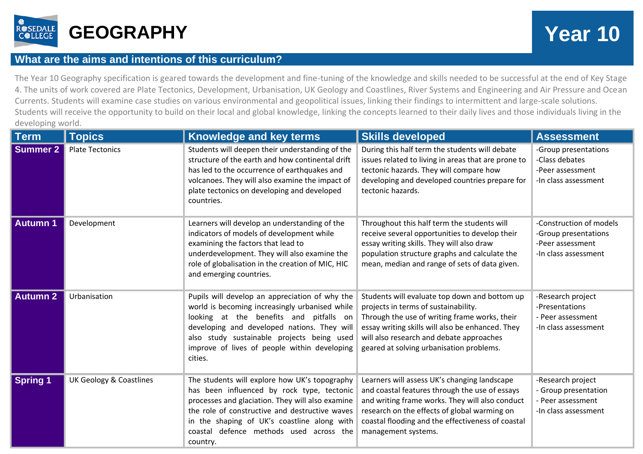

## **What are the aims and intentions of this curriculum?**

The Year 10 Geography specification is geared towards the development and fine-tuning of the knowledge and skills needed to be successful at the end of Key Stage 4. The units of work covered are Plate Tectonics, Development, Urbanisation, UK Geology and Coastlines, River Systems and Engineering and Air Pressure and Ocean Currents. Students will examine case studies on various environmental and geopolitical issues, linking their findings to intermittent and large-scale solutions. Students will receive the opportunity to build on their local and global knowledge, linking the concepts learned to their daily lives and those individuals living in the developing world.

| <b>Term</b>     | <b>Topics</b>                      | Knowledge and key terms                                                                                                                                                                                                                                                                                 | <b>Skills developed</b>                                                                                                                                                                                                                                                            | <b>Assessment</b>                                                                           |
|-----------------|------------------------------------|---------------------------------------------------------------------------------------------------------------------------------------------------------------------------------------------------------------------------------------------------------------------------------------------------------|------------------------------------------------------------------------------------------------------------------------------------------------------------------------------------------------------------------------------------------------------------------------------------|---------------------------------------------------------------------------------------------|
| <b>Summer 2</b> | <b>Plate Tectonics</b>             | Students will deepen their understanding of the<br>structure of the earth and how continental drift<br>has led to the occurrence of earthquakes and<br>volcanoes. They will also examine the impact of<br>plate tectonics on developing and developed<br>countries.                                     | During this half term the students will debate<br>issues related to living in areas that are prone to<br>tectonic hazards. They will compare how<br>developing and developed countries prepare for<br>tectonic hazards.                                                            | -Group presentations<br>-Class debates<br>-Peer assessment<br>-In class assessment          |
| <b>Autumn 1</b> | Development                        | Learners will develop an understanding of the<br>indicators of models of development while<br>examining the factors that lead to<br>underdevelopment. They will also examine the<br>role of globalisation in the creation of MIC, HIC<br>and emerging countries.                                        | Throughout this half term the students will<br>receive several opportunities to develop their<br>essay writing skills. They will also draw<br>population structure graphs and calculate the<br>mean, median and range of sets of data given.                                       | -Construction of models<br>-Group presentations<br>-Peer assessment<br>-In class assessment |
| <b>Autumn 2</b> | Urbanisation                       | Pupils will develop an appreciation of why the<br>world is becoming increasingly urbanised while<br>looking at the benefits and pitfalls on<br>developing and developed nations. They will<br>also study sustainable projects being used<br>improve of lives of people within developing<br>cities.     | Students will evaluate top down and bottom up<br>projects in terms of sustainability.<br>Through the use of writing frame works, their<br>essay writing skills will also be enhanced. They<br>will also research and debate approaches<br>geared at solving urbanisation problems. | -Research project<br>-Presentations<br>- Peer assessment<br>-In class assessment            |
| <b>Spring 1</b> | <b>UK Geology &amp; Coastlines</b> | The students will explore how UK's topography<br>has been influenced by rock type, tectonic<br>processes and glaciation. They will also examine<br>the role of constructive and destructive waves<br>in the shaping of UK's coastline along with<br>coastal defence methods used across the<br>country. | Learners will assess UK's changing landscape<br>and coastal features through the use of essays<br>and writing frame works. They will also conduct<br>research on the effects of global warming on<br>coastal flooding and the effectiveness of coastal<br>management systems.      | -Research project<br>- Group presentation<br>- Peer assessment<br>-In class assessment      |